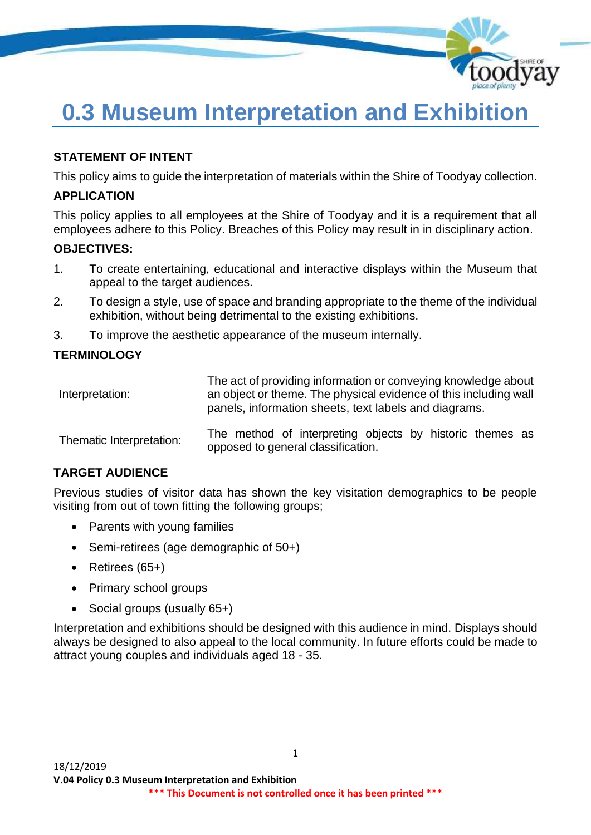

# **0.3 Museum Interpretation and Exhibition**

# **STATEMENT OF INTENT**

This policy aims to guide the interpretation of materials within the Shire of Toodyay collection.

### **APPLICATION**

This policy applies to all employees at the Shire of Toodyay and it is a requirement that all employees adhere to this Policy. Breaches of this Policy may result in in disciplinary action.

#### **OBJECTIVES:**

- 1. To create entertaining, educational and interactive displays within the Museum that appeal to the target audiences.
- 2. To design a style, use of space and branding appropriate to the theme of the individual exhibition, without being detrimental to the existing exhibitions.
- 3. To improve the aesthetic appearance of the museum internally.

#### **TERMINOLOGY**

| Interpretation:          | The act of providing information or conveying knowledge about<br>an object or theme. The physical evidence of this including wall<br>panels, information sheets, text labels and diagrams. |
|--------------------------|--------------------------------------------------------------------------------------------------------------------------------------------------------------------------------------------|
| Thematic Interpretation: | The method of interpreting objects by historic themes as<br>opposed to general classification.                                                                                             |

# **TARGET AUDIENCE**

Previous studies of visitor data has shown the key visitation demographics to be people visiting from out of town fitting the following groups;

- Parents with young families
- Semi-retirees (age demographic of 50+)
- Retirees (65+)
- Primary school groups
- Social groups (usually 65+)

Interpretation and exhibitions should be designed with this audience in mind. Displays should always be designed to also appeal to the local community. In future efforts could be made to attract young couples and individuals aged 18 - 35.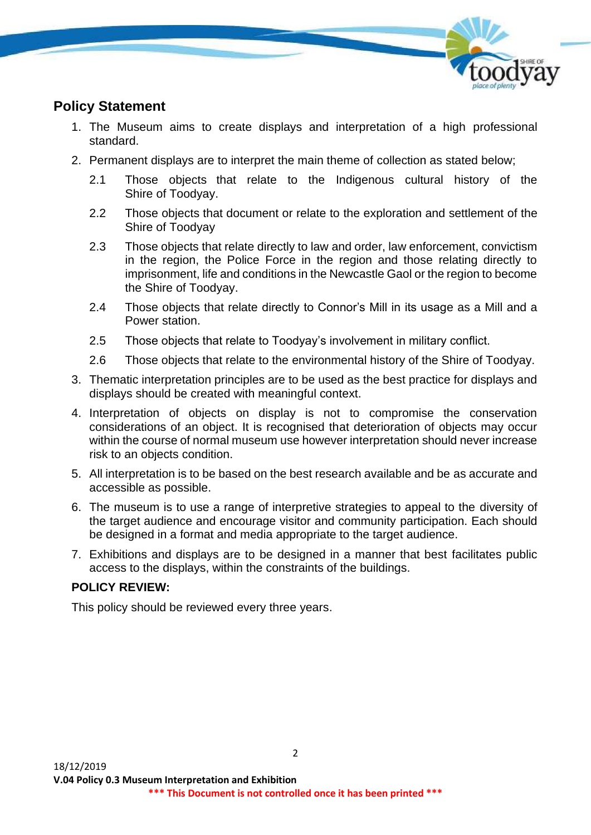

# **Policy Statement**

- 1. The Museum aims to create displays and interpretation of a high professional standard.
- 2. Permanent displays are to interpret the main theme of collection as stated below;
	- 2.1 Those objects that relate to the Indigenous cultural history of the Shire of Toodyay.
	- 2.2 Those objects that document or relate to the exploration and settlement of the Shire of Toodyay
	- 2.3 Those objects that relate directly to law and order, law enforcement, convictism in the region, the Police Force in the region and those relating directly to imprisonment, life and conditions in the Newcastle Gaol or the region to become the Shire of Toodyay.
	- 2.4 Those objects that relate directly to Connor's Mill in its usage as a Mill and a Power station.
	- 2.5 Those objects that relate to Toodyay's involvement in military conflict.
	- 2.6 Those objects that relate to the environmental history of the Shire of Toodyay.
- 3. Thematic interpretation principles are to be used as the best practice for displays and displays should be created with meaningful context.
- 4. Interpretation of objects on display is not to compromise the conservation considerations of an object. It is recognised that deterioration of objects may occur within the course of normal museum use however interpretation should never increase risk to an objects condition.
- 5. All interpretation is to be based on the best research available and be as accurate and accessible as possible.
- 6. The museum is to use a range of interpretive strategies to appeal to the diversity of the target audience and encourage visitor and community participation. Each should be designed in a format and media appropriate to the target audience.
- 7. Exhibitions and displays are to be designed in a manner that best facilitates public access to the displays, within the constraints of the buildings.

# **POLICY REVIEW:**

This policy should be reviewed every three years.